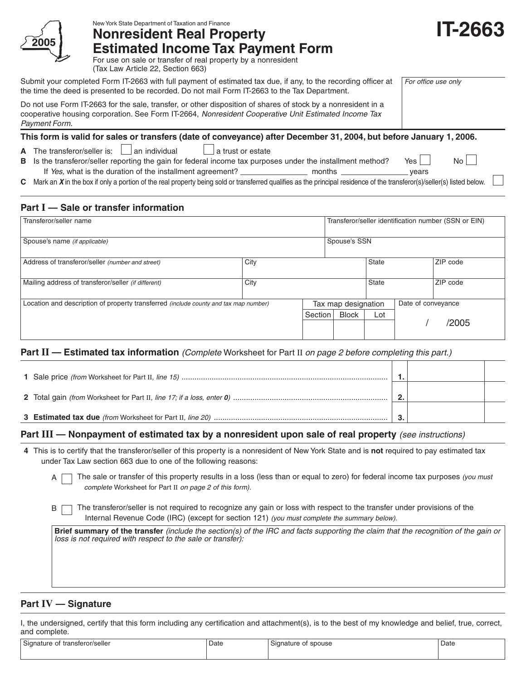

New York State Department of Taxation and Finance

**Nonresident Real Property Estimated Income Tax Payment Form**

| <b>IT-2663</b> |  |
|----------------|--|
|----------------|--|

For use on sale or transfer of real property by a nonresident (Tax Law Article 22, Section 663)

Submit your completed Form IT-2663 with full payment of estimated tax due, if any, to the recording officer at the time the deed is presented to be recorded. Do not mail Form IT-2663 to the Tax Department.

Do not use Form IT-2663 for the sale, transfer, or other disposition of shares of stock by a nonresident in a cooperative housing corporation. See Form IT-2664, Nonresident Cooperative Unit Estimated Income Tax Payment Form.

### **This form is valid for sales or transfers (date of conveyance) after December 31, 2004, but before January 1, 2006.**

- **A** The transferor/seller is:  $\Box$  an individual  $\Box$  a trust or estate
- **B** Is the transferor/seller reporting the gain for federal income tax purposes under the installment method? Yes If Yes, what is the duration of the installment agreement? months years

For office use only

- 
- **C** Mark an **X** in the box if only a portion of the real property being sold or transferred qualifies as the principal residence of the transferor(s)/seller(s) listed below.

# **Part I — Sale or transfer information**

| Transferor/seller name                                                                      |      |         | Transferor/seller identification number (SSN or EIN) |       |                    |          |  |
|---------------------------------------------------------------------------------------------|------|---------|------------------------------------------------------|-------|--------------------|----------|--|
| Spouse's name (if applicable)                                                               |      |         | Spouse's SSN                                         |       |                    |          |  |
| Address of transferor/seller (number and street)                                            | City |         |                                                      | State |                    | ZIP code |  |
| Mailing address of transferor/seller (if different)                                         | City |         |                                                      | State |                    | ZIP code |  |
| Location and description of property transferred <i>(include county and tax map number)</i> |      |         | Tax map designation                                  |       | Date of conveyance |          |  |
|                                                                                             |      | Section | <b>Block</b>                                         | Lot   |                    |          |  |
|                                                                                             |      |         |                                                      |       |                    | /2005    |  |

## Part II - Estimated tax information *(Complete Worksheet for Part II on page 2 before completing this part.)*

|  | n |  |
|--|---|--|
|  |   |  |

## **Part III** — Nonpayment of estimated tax by a nonresident upon sale of real property (see instructions)

**4** This is to certify that the transferor/seller of this property is a nonresident of New York State and is **not** required to pay estimated tax under Tax Law section 663 due to one of the following reasons:

The sale or transfer of this property results in a loss (less than or equal to zero) for federal income tax purposes (you must complete Worksheet for Part II on page 2 of this form).

B The transferor/seller is not required to recognize any gain or loss with respect to the transfer under provisions of the Internal Revenue Code (IRC) (except for section 121) (you must complete the summary below).

**Brief summary of the transfer** (include the section(s) of the IRC and facts supporting the claim that the recognition of the gain or loss is not required with respect to the sale or transfer):

# **Part IV — Signature**

I, the undersigned, certify that this form including any certification and attachment(s), is to the best of my knowledge and belief, true, correct, and complete.

| Signature of<br>f transferor/seller | Date | Signature of spouse<br>. | Date |
|-------------------------------------|------|--------------------------|------|
|                                     |      |                          |      |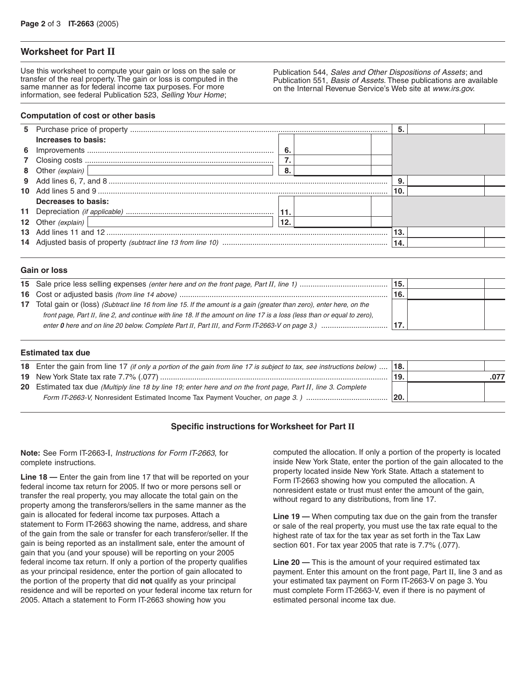## **Worksheet for Part II**

Use this worksheet to compute your gain or loss on the sale or transfer of the real property. The gain or loss is computed in the same manner as for federal income tax purposes. For more information, see federal Publication 523, Selling Your Home;

Publication 544, Sales and Other Dispositions of Assets; and Publication 551, Basis of Assets. These publications are available on the Internal Revenue Service's Web site at www.irs.gov.

#### **Computation of cost or other basis**

| Increases to basis: |     |  |     |  |
|---------------------|-----|--|-----|--|
|                     | 6.  |  |     |  |
|                     |     |  |     |  |
| 8 Other (explain)   | 8   |  |     |  |
|                     |     |  |     |  |
|                     |     |  |     |  |
| Decreases to basis: |     |  |     |  |
|                     |     |  |     |  |
| 12 Other (explain)  | 12. |  |     |  |
|                     |     |  | 13. |  |
|                     |     |  |     |  |
|                     |     |  |     |  |

#### **Gain or loss**

|                                                                                                                          | 15.        |  |
|--------------------------------------------------------------------------------------------------------------------------|------------|--|
|                                                                                                                          | <b>16.</b> |  |
| 17 Total gain or (loss) (Subtract line 16 from line 15. If the amount is a gain (greater than zero), enter here, on the  |            |  |
| front page, Part II, line 2, and continue with line 18. If the amount on line 17 is a loss (less than or equal to zero), |            |  |
|                                                                                                                          | 17.        |  |
|                                                                                                                          |            |  |

#### **Estimated tax due**

| 18 Enter the gain from line 17 (if only a portion of the gain from line 17 is subject to tax, see instructions below) | 18. |  |
|-----------------------------------------------------------------------------------------------------------------------|-----|--|
|                                                                                                                       | 19. |  |
| 20 Estimated tax due (Multiply line 18 by line 19; enter here and on the front page, Part II, line 3. Complete        |     |  |
| Form IT-2663-V, Nonresident Estimated Income Tax Payment Voucher, on page 3. )                                        | 20. |  |
|                                                                                                                       |     |  |

#### **Specific instructions for Worksheet for Part II**

**Note:** See Form IT-2663-I, Instructions for Form IT-2663, for complete instructions.

**Line 18 —** Enter the gain from line 17 that will be reported on your federal income tax return for 2005. If two or more persons sell or transfer the real property, you may allocate the total gain on the property among the transferors/sellers in the same manner as the gain is allocated for federal income tax purposes. Attach a statement to Form IT-2663 showing the name, address, and share of the gain from the sale or transfer for each transferor/seller. If the gain is being reported as an installment sale, enter the amount of gain that you (and your spouse) will be reporting on your 2005 federal income tax return. If only a portion of the property qualifies as your principal residence, enter the portion of gain allocated to the portion of the property that did **not** qualify as your principal residence and will be reported on your federal income tax return for 2005. Attach a statement to Form IT-2663 showing how you

computed the allocation. If only a portion of the property is located inside New York State, enter the portion of the gain allocated to the property located inside New York State. Attach a statement to Form IT-2663 showing how you computed the allocation. A nonresident estate or trust must enter the amount of the gain, without regard to any distributions, from line 17.

**Line 19 —** When computing tax due on the gain from the transfer or sale of the real property, you must use the tax rate equal to the highest rate of tax for the tax year as set forth in the Tax Law section 601. For tax year 2005 that rate is 7.7% (.077).

**Line 20 —** This is the amount of your required estimated tax payment. Enter this amount on the front page, Part II, line 3 and as your estimated tax payment on Form IT-2663-V on page 3. You must complete Form IT-2663-V, even if there is no payment of estimated personal income tax due.